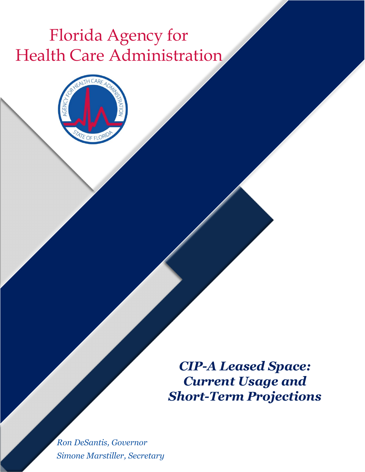# Florida Agency for Health Care Administration



*CIP-A Leased Space: Current Usage and Short-Term Projections* 

*Ron DeSantis, Governor Simone Marstiller, Secretary*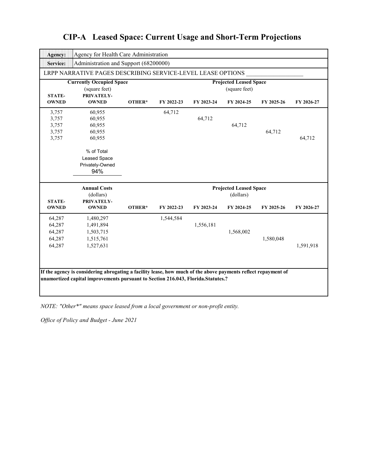|                                                                                        | LRPP NARRATIVE PAGES DESCRIBING SERVICE-LEVEL LEASE OPTIONS                                                   |        |                                                |            |                               |            |            |  |  |
|----------------------------------------------------------------------------------------|---------------------------------------------------------------------------------------------------------------|--------|------------------------------------------------|------------|-------------------------------|------------|------------|--|--|
| <b>Currently Occupied Space</b><br>(square feet)<br><b>PRIVATELY-</b><br><b>STATE-</b> |                                                                                                               |        | <b>Projected Leased Space</b><br>(square feet) |            |                               |            |            |  |  |
| <b>OWNED</b>                                                                           | <b>OWNED</b>                                                                                                  | OTHER* | FY 2022-23                                     | FY 2023-24 | FY 2024-25                    | FY 2025-26 | FY 2026-27 |  |  |
| 3,757                                                                                  | 60,955                                                                                                        |        | 64,712                                         |            |                               |            |            |  |  |
| 3,757                                                                                  | 60,955                                                                                                        |        |                                                | 64,712     |                               |            |            |  |  |
| 3,757                                                                                  | 60,955                                                                                                        |        |                                                |            | 64,712                        |            |            |  |  |
| 3,757                                                                                  | 60,955                                                                                                        |        |                                                |            |                               | 64,712     |            |  |  |
| 3,757                                                                                  | 60,955                                                                                                        |        |                                                |            |                               |            | 64,712     |  |  |
|                                                                                        | % of Total                                                                                                    |        |                                                |            |                               |            |            |  |  |
|                                                                                        | Leased Space                                                                                                  |        |                                                |            |                               |            |            |  |  |
|                                                                                        | Privately-Owned                                                                                               |        |                                                |            |                               |            |            |  |  |
|                                                                                        | 94%                                                                                                           |        |                                                |            |                               |            |            |  |  |
|                                                                                        | <b>Annual Costs</b>                                                                                           |        |                                                |            | <b>Projected Leased Space</b> |            |            |  |  |
|                                                                                        | (dollars)                                                                                                     |        |                                                |            | (dollars)                     |            |            |  |  |
| <b>STATE-</b>                                                                          | PRIVATELY-                                                                                                    |        |                                                |            |                               |            |            |  |  |
| <b>OWNED</b>                                                                           | <b>OWNED</b>                                                                                                  | OTHER* | FY 2022-23                                     | FY 2023-24 | FY 2024-25                    | FY 2025-26 | FY 2026-27 |  |  |
| 64,287                                                                                 | 1,480,297                                                                                                     |        | 1,544,584                                      |            |                               |            |            |  |  |
| 64,287                                                                                 | 1,491,894                                                                                                     |        |                                                | 1,556,181  |                               |            |            |  |  |
| 64,287                                                                                 | 1,503,715                                                                                                     |        |                                                |            | 1,568,002                     |            |            |  |  |
| 64,287                                                                                 | 1,515,761                                                                                                     |        |                                                |            |                               | 1,580,048  |            |  |  |
| 64,287                                                                                 | 1,527,631                                                                                                     |        |                                                |            |                               |            | 1,591,918  |  |  |
|                                                                                        |                                                                                                               |        |                                                |            |                               |            |            |  |  |
|                                                                                        |                                                                                                               |        |                                                |            |                               |            |            |  |  |
|                                                                                        | If the agency is considering abrogating a facility lease, how much of the above payments reflect repayment of |        |                                                |            |                               |            |            |  |  |

*NOTE: "Other\*" means space leased from a local government or non-profit entity.*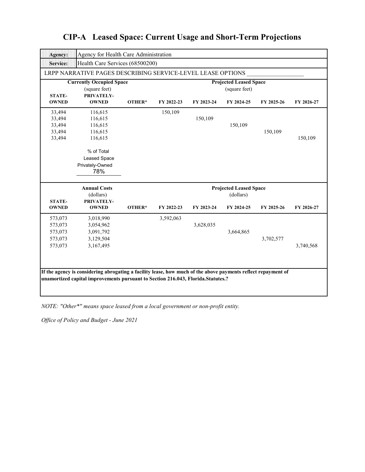| Agency:                                             | Agency for Health Care Administration                                                                                                                                                             |        |                                                |            |                                                          |            |            |  |  |
|-----------------------------------------------------|---------------------------------------------------------------------------------------------------------------------------------------------------------------------------------------------------|--------|------------------------------------------------|------------|----------------------------------------------------------|------------|------------|--|--|
| <b>Service:</b>                                     | Health Care Services (68500200)                                                                                                                                                                   |        |                                                |            |                                                          |            |            |  |  |
|                                                     | LRPP NARRATIVE PAGES DESCRIBING SERVICE-LEVEL LEASE OPTIONS                                                                                                                                       |        |                                                |            |                                                          |            |            |  |  |
| <b>STATE-</b>                                       | <b>Currently Occupied Space</b><br>(square feet)<br>PRIVATELY-                                                                                                                                    |        | <b>Projected Leased Space</b><br>(square feet) |            |                                                          |            |            |  |  |
| <b>OWNED</b>                                        | <b>OWNED</b>                                                                                                                                                                                      | OTHER* | FY 2022-23                                     | FY 2023-24 | FY 2024-25                                               | FY 2025-26 | FY 2026-27 |  |  |
| 33,494<br>33,494<br>33,494<br>33,494<br>33,494      | 116,615<br>116,615<br>116,615<br>116,615<br>116,615<br>% of Total<br><b>Leased Space</b><br>Privately-Owned<br>78%                                                                                |        | 150,109                                        | 150,109    | 150,109                                                  | 150,109    | 150,109    |  |  |
| <b>STATE-</b><br><b>OWNED</b>                       | <b>Annual Costs</b><br>(dollars)<br>PRIVATELY-<br><b>OWNED</b>                                                                                                                                    | OTHER* | FY 2022-23                                     | FY 2023-24 | <b>Projected Leased Space</b><br>(dollars)<br>FY 2024-25 | FY 2025-26 | FY 2026-27 |  |  |
| 573,073<br>573,073<br>573,073<br>573,073<br>573,073 | 3,018,990<br>3,054,962<br>3,091,792<br>3,129,504<br>3,167,495                                                                                                                                     |        | 3,592,063                                      | 3,628,035  | 3,664,865                                                | 3,702,577  | 3,740,568  |  |  |
|                                                     | If the agency is considering abrogating a facility lease, how much of the above payments reflect repayment of<br>unamortized capital improvements pursuant to Section 216.043, Florida.Statutes.? |        |                                                |            |                                                          |            |            |  |  |

*NOTE: "Other\*" means space leased from a local government or non-profit entity.*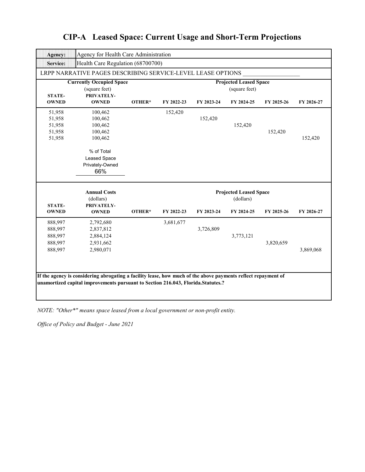| Agency:                                             | Agency for Health Care Administration                                                                       |                                                |            |            |                                                          |            |            |  |  |
|-----------------------------------------------------|-------------------------------------------------------------------------------------------------------------|------------------------------------------------|------------|------------|----------------------------------------------------------|------------|------------|--|--|
| <b>Service:</b>                                     | Health Care Regulation (68700700)                                                                           |                                                |            |            |                                                          |            |            |  |  |
|                                                     | LRPP NARRATIVE PAGES DESCRIBING SERVICE-LEVEL LEASE OPTIONS                                                 |                                                |            |            |                                                          |            |            |  |  |
| <b>STATE-</b>                                       | <b>Currently Occupied Space</b><br>(square feet)<br>PRIVATELY-                                              | <b>Projected Leased Space</b><br>(square feet) |            |            |                                                          |            |            |  |  |
| <b>OWNED</b>                                        | <b>OWNED</b>                                                                                                | OTHER*                                         | FY 2022-23 | FY 2023-24 | FY 2024-25                                               | FY 2025-26 | FY 2026-27 |  |  |
| 51,958<br>51,958<br>51,958<br>51,958<br>51,958      | 100,462<br>100,462<br>100,462<br>100,462<br>100,462<br>% of Total<br>Leased Space<br>Privately-Owned<br>66% |                                                | 152,420    | 152,420    | 152,420                                                  | 152,420    | 152,420    |  |  |
|                                                     |                                                                                                             |                                                |            |            |                                                          |            |            |  |  |
| <b>STATE-</b><br><b>OWNED</b>                       | <b>Annual Costs</b><br>(dollars)<br>PRIVATELY-<br><b>OWNED</b>                                              | OTHER*                                         | FY 2022-23 | FY 2023-24 | <b>Projected Leased Space</b><br>(dollars)<br>FY 2024-25 | FY 2025-26 | FY 2026-27 |  |  |
| 888,997<br>888,997<br>888,997<br>888,997<br>888,997 | 2,792,680<br>2,837,812<br>2,884,124<br>2,931,662<br>2,980,071                                               |                                                | 3,681,677  | 3,726,809  | 3,773,121                                                | 3,820,659  | 3,869,068  |  |  |

*NOTE: "Other\*" means space leased from a local government or non-profit entity.*